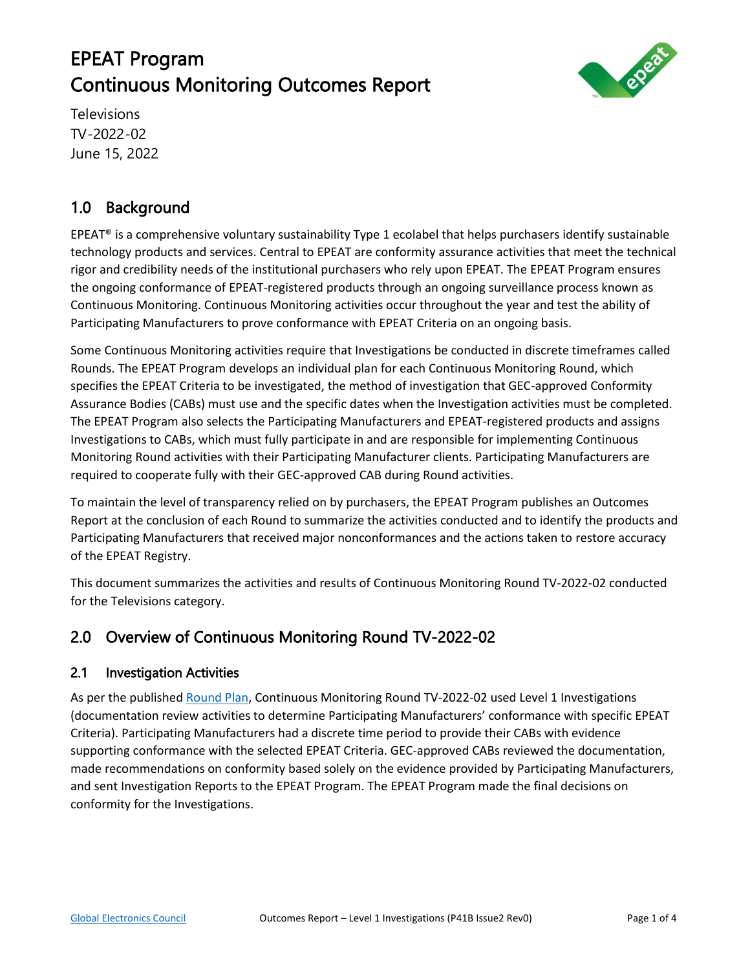# EPEAT Program Continuous Monitoring Outcomes Report



Televisions TV-2022-02 June 15, 2022

# 1.0 Background

EPEAT® is a comprehensive voluntary sustainability Type 1 ecolabel that helps purchasers identify sustainable technology products and services. Central to EPEAT are conformity assurance activities that meet the technical rigor and credibility needs of the institutional purchasers who rely upon EPEAT. The EPEAT Program ensures the ongoing conformance of EPEAT-registered products through an ongoing surveillance process known as Continuous Monitoring. Continuous Monitoring activities occur throughout the year and test the ability of Participating Manufacturers to prove conformance with EPEAT Criteria on an ongoing basis.

Some Continuous Monitoring activities require that Investigations be conducted in discrete timeframes called Rounds. The EPEAT Program develops an individual plan for each Continuous Monitoring Round, which specifies the EPEAT Criteria to be investigated, the method of investigation that GEC-approved Conformity Assurance Bodies (CABs) must use and the specific dates when the Investigation activities must be completed. The EPEAT Program also selects the Participating Manufacturers and EPEAT-registered products and assigns Investigations to CABs, which must fully participate in and are responsible for implementing Continuous Monitoring Round activities with their Participating Manufacturer clients. Participating Manufacturers are required to cooperate fully with their GEC-approved CAB during Round activities.

To maintain the level of transparency relied on by purchasers, the EPEAT Program publishes an Outcomes Report at the conclusion of each Round to summarize the activities conducted and to identify the products and Participating Manufacturers that received major nonconformances and the actions taken to restore accuracy of the EPEAT Registry.

This document summarizes the activities and results of Continuous Monitoring Round TV-2022-02 conducted for the Televisions category.

# 2.0 Overview of Continuous Monitoring Round TV-2022-02

#### 2.1 Investigation Activities

As per the published [Round Plan,](https://globalelectronicscouncil.org/wp-content/uploads/TV-2022-02-Continuous-Monitoring-Round-Plan-FINAL.pdf) Continuous Monitoring Round TV-2022-02 used Level 1 Investigations (documentation review activities to determine Participating Manufacturers' conformance with specific EPEAT Criteria). Participating Manufacturers had a discrete time period to provide their CABs with evidence supporting conformance with the selected EPEAT Criteria. GEC-approved CABs reviewed the documentation, made recommendations on conformity based solely on the evidence provided by Participating Manufacturers, and sent Investigation Reports to the EPEAT Program. The EPEAT Program made the final decisions on conformity for the Investigations.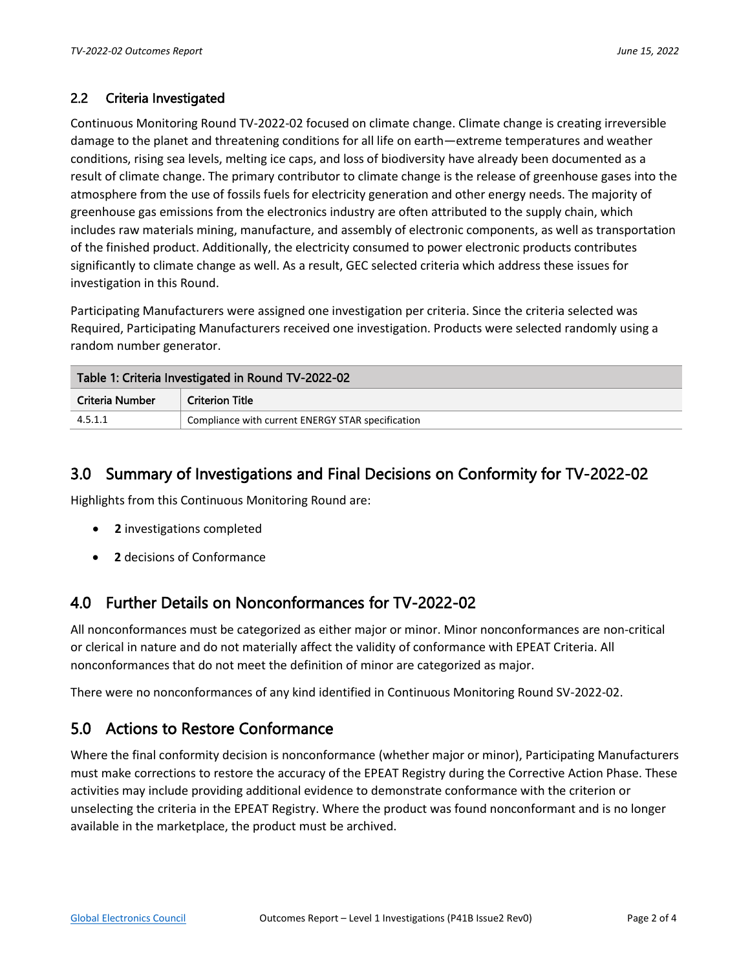#### 2.2 Criteria Investigated

Continuous Monitoring Round TV-2022-02 focused on climate change. Climate change is creating irreversible damage to the planet and threatening conditions for all life on earth—extreme temperatures and weather conditions, rising sea levels, melting ice caps, and loss of biodiversity have already been documented as a result of climate change. The primary contributor to climate change is the release of greenhouse gases into the atmosphere from the use of fossils fuels for electricity generation and other energy needs. The majority of greenhouse gas emissions from the electronics industry are often attributed to the supply chain, which includes raw materials mining, manufacture, and assembly of electronic components, as well as transportation of the finished product. Additionally, the electricity consumed to power electronic products contributes significantly to climate change as well. As a result, GEC selected criteria which address these issues for investigation in this Round.

Participating Manufacturers were assigned one investigation per criteria. Since the criteria selected was Required, Participating Manufacturers received one investigation. Products were selected randomly using a random number generator.

| Table 1: Criteria Investigated in Round TV-2022-02 |                                                   |  |  |  |  |
|----------------------------------------------------|---------------------------------------------------|--|--|--|--|
| Criteria Number                                    | <b>Criterion Title</b>                            |  |  |  |  |
| 4.5.1.1                                            | Compliance with current ENERGY STAR specification |  |  |  |  |

#### 3.0 Summary of Investigations and Final Decisions on Conformity for TV-2022-02

Highlights from this Continuous Monitoring Round are:

- **2** investigations completed
- **2** decisions of Conformance

## 4.0 Further Details on Nonconformances for TV-2022-02

All nonconformances must be categorized as either major or minor. Minor nonconformances are non-critical or clerical in nature and do not materially affect the validity of conformance with EPEAT Criteria. All nonconformances that do not meet the definition of minor are categorized as major.

There were no nonconformances of any kind identified in Continuous Monitoring Round SV-2022-02.

## 5.0 Actions to Restore Conformance

Where the final conformity decision is nonconformance (whether major or minor), Participating Manufacturers must make corrections to restore the accuracy of the EPEAT Registry during the Corrective Action Phase. These activities may include providing additional evidence to demonstrate conformance with the criterion or unselecting the criteria in the EPEAT Registry. Where the product was found nonconformant and is no longer available in the marketplace, the product must be archived.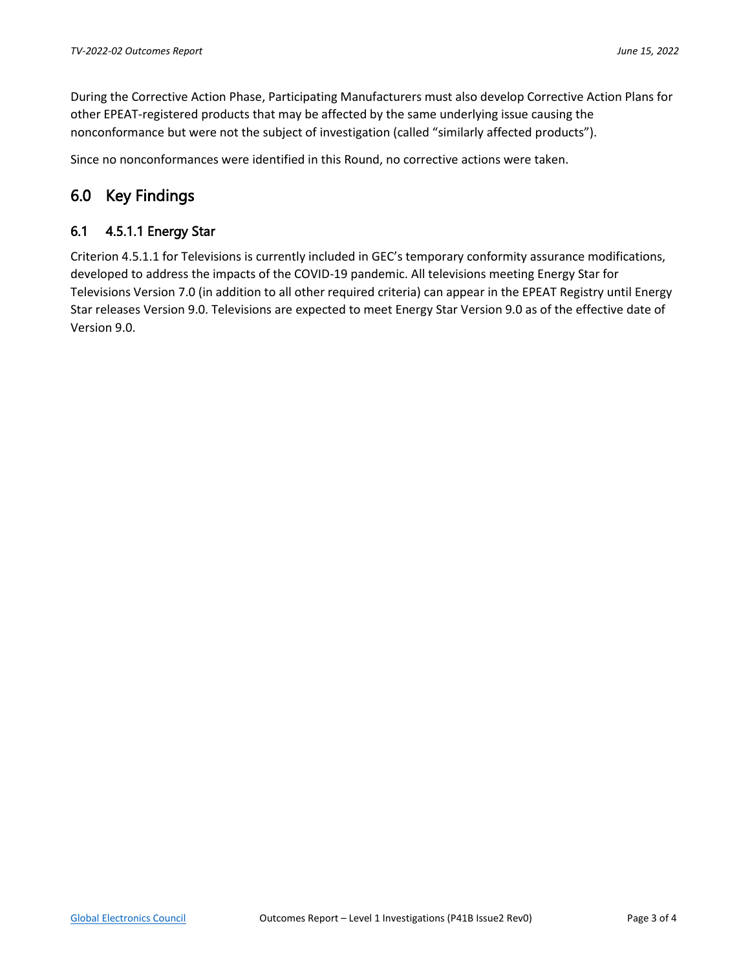During the Corrective Action Phase, Participating Manufacturers must also develop Corrective Action Plans for other EPEAT-registered products that may be affected by the same underlying issue causing the nonconformance but were not the subject of investigation (called "similarly affected products").

Since no nonconformances were identified in this Round, no corrective actions were taken.

## 6.0 Key Findings

#### 6.1 4.5.1.1 Energy Star

Criterion 4.5.1.1 for Televisions is currently included in GEC's temporary conformity assurance modifications, developed to address the impacts of the COVID-19 pandemic. All televisions meeting Energy Star for Televisions Version 7.0 (in addition to all other required criteria) can appear in the EPEAT Registry until Energy Star releases Version 9.0. Televisions are expected to meet Energy Star Version 9.0 as of the effective date of Version 9.0.